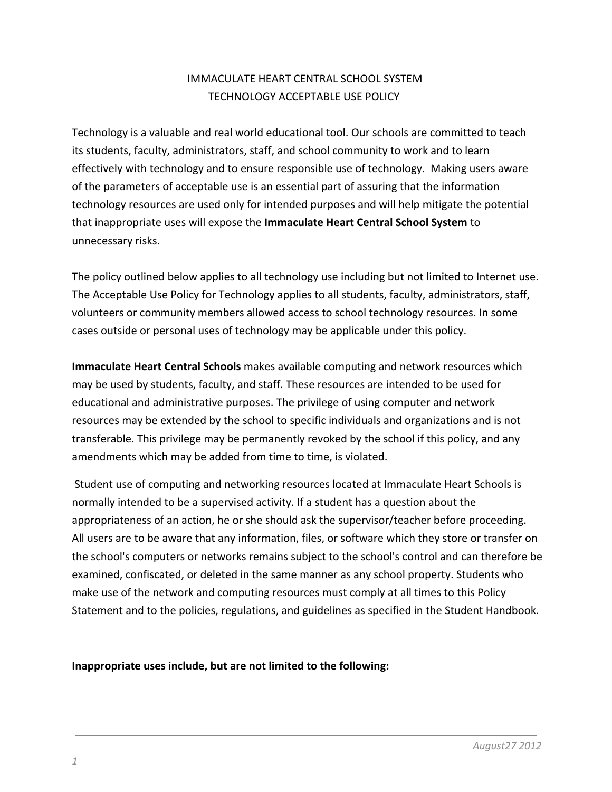# IMMACULATE HEART CENTRAL SCHOOL SYSTEM TECHNOLOGY ACCEPTABLE USE POLICY

Technology is a valuable and real world educational tool. Our schools are committed to teach its students, faculty, administrators, staff, and school community to work and to learn effectively with technology and to ensure responsible use of technology. Making users aware of the parameters of acceptable use is an essential part of assuring that the information technology resources are used only for intended purposes and will help mitigate the potential that inappropriate uses will expose the **Immaculate Heart Central School System** to unnecessary risks.

The policy outlined below applies to all technology use including but not limited to Internet use. The Acceptable Use Policy for Technology applies to all students, faculty, administrators, staff, volunteers or community members allowed access to school technology resources. In some cases outside or personal uses of technology may be applicable under this policy.

**Immaculate Heart Central Schools** makes available computing and network resources which may be used by students, faculty, and staff. These resources are intended to be used for educational and administrative purposes. The privilege of using computer and network resources may be extended by the school to specific individuals and organizations and is not transferable. This privilege may be permanently revoked by the school if this policy, and any amendments which may be added from time to time, is violated.

Student use of computing and networking resources located at Immaculate Heart Schools is normally intended to be a supervised activity. If a student has a question about the appropriateness of an action, he or she should ask the supervisor/teacher before proceeding. All users are to be aware that any information, files, or software which they store or transfer on the school's computers or networks remains subject to the school's control and can therefore be examined, confiscated, or deleted in the same manner as any school property. Students who make use of the network and computing resources must comply at all times to this Policy Statement and to the policies, regulations, and guidelines as specified in the Student Handbook.

**Inappropriate uses include, but are not limited to the following:**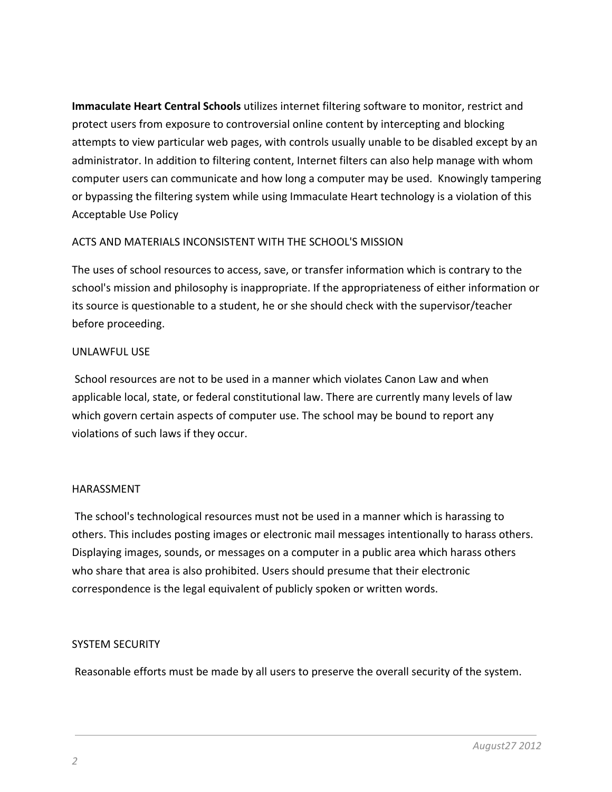**Immaculate Heart Central Schools** utilizes internet filtering software to monitor, restrict and protect users from exposure to controversial online content by intercepting and blocking attempts to view particular web pages, with controls usually unable to be disabled except by an administrator. In addition to filtering content, Internet filters can also help manage with whom computer users can communicate and how long a computer may be used. Knowingly tampering or bypassing the filtering system while using Immaculate Heart technology is a violation of this Acceptable Use Policy

## ACTS AND MATERIALS INCONSISTENT WITH THE SCHOOL'S MISSION

The uses of school resources to access, save, or transfer information which is contrary to the school's mission and philosophy is inappropriate. If the appropriateness of either information or its source is questionable to a student, he or she should check with the supervisor/teacher before proceeding.

#### UNLAWFUL USE

School resources are not to be used in a manner which violates Canon Law and when applicable local, state, or federal constitutional law. There are currently many levels of law which govern certain aspects of computer use. The school may be bound to report any violations of such laws if they occur.

#### HARASSMENT

The school's technological resources must not be used in a manner which is harassing to others. This includes posting images or electronic mail messages intentionally to harass others. Displaying images, sounds, or messages on a computer in a public area which harass others who share that area is also prohibited. Users should presume that their electronic correspondence is the legal equivalent of publicly spoken or written words.

#### SYSTEM SECURITY

Reasonable efforts must be made by all users to preserve the overall security of the system.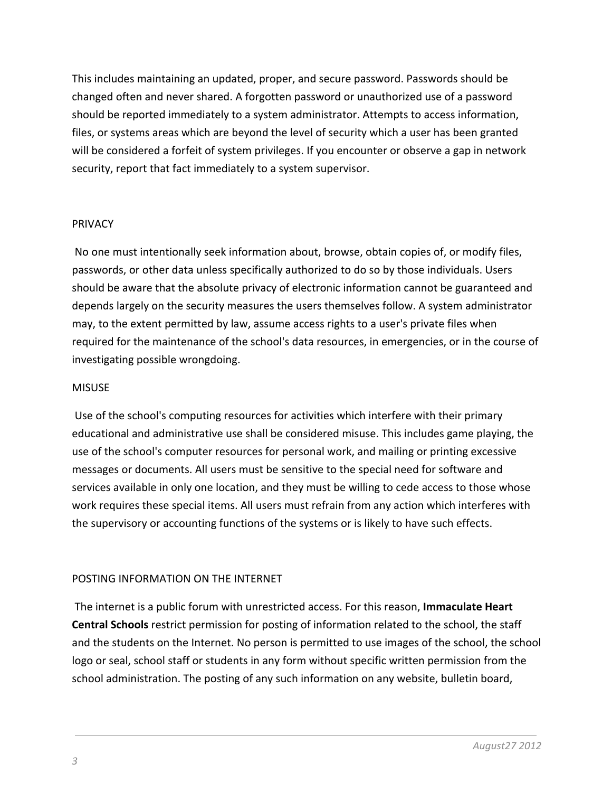This includes maintaining an updated, proper, and secure password. Passwords should be changed often and never shared. A forgotten password or unauthorized use of a password should be reported immediately to a system administrator. Attempts to access information, files, or systems areas which are beyond the level of security which a user has been granted will be considered a forfeit of system privileges. If you encounter or observe a gap in network security, report that fact immediately to a system supervisor.

#### PRIVACY

No one must intentionally seek information about, browse, obtain copies of, or modify files, passwords, or other data unless specifically authorized to do so by those individuals. Users should be aware that the absolute privacy of electronic information cannot be guaranteed and depends largely on the security measures the users themselves follow. A system administrator may, to the extent permitted by law, assume access rights to a user's private files when required for the maintenance of the school's data resources, in emergencies, or in the course of investigating possible wrongdoing.

## MISUSE

Use of the school's computing resources for activities which interfere with their primary educational and administrative use shall be considered misuse. This includes game playing, the use of the school's computer resources for personal work, and mailing or printing excessive messages or documents. All users must be sensitive to the special need for software and services available in only one location, and they must be willing to cede access to those whose work requires these special items. All users must refrain from any action which interferes with the supervisory or accounting functions of the systems or is likely to have such effects.

## POSTING INFORMATION ON THE INTERNET

The internet is a public forum with unrestricted access. For this reason, **Immaculate Heart Central Schools** restrict permission for posting of information related to the school, the staff and the students on the Internet. No person is permitted to use images of the school, the school logo or seal, school staff or students in any form without specific written permission from the school administration. The posting of any such information on any website, bulletin board,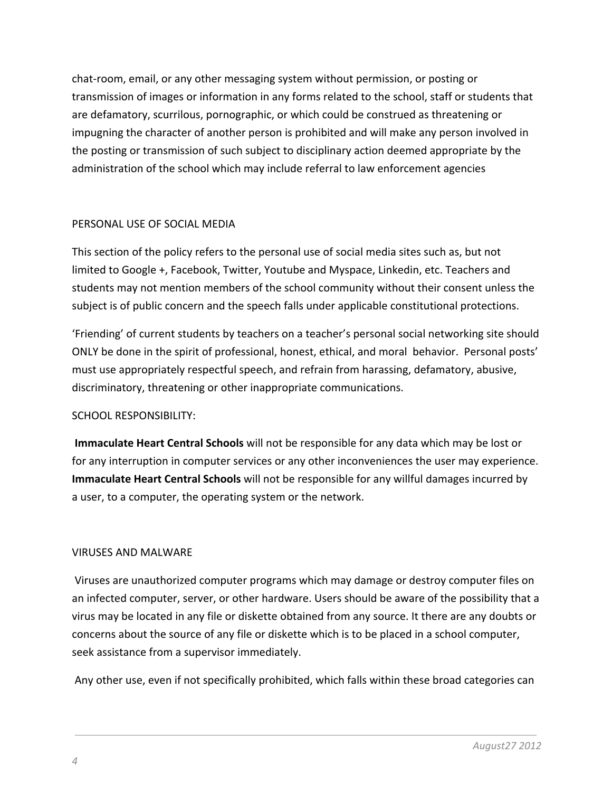chat-room, email, or any other messaging system without permission, or posting or transmission of images or information in any forms related to the school, staff or students that are defamatory, scurrilous, pornographic, or which could be construed as threatening or impugning the character of another person is prohibited and will make any person involved in the posting or transmission of such subject to disciplinary action deemed appropriate by the administration of the school which may include referral to law enforcement agencies

## PERSONAL USE OF SOCIAL MEDIA

This section of the policy refers to the personal use of social media sites such as, but not limited to Google +, Facebook, Twitter, Youtube and Myspace, Linkedin, etc. Teachers and students may not mention members of the school community without their consent unless the subject is of public concern and the speech falls under applicable constitutional protections.

'Friending' of current students by teachers on a teacher's personal social networking site should ONLY be done in the spirit of professional, honest, ethical, and moral behavior. Personal posts' must use appropriately respectful speech, and refrain from harassing, defamatory, abusive, discriminatory, threatening or other inappropriate communications.

#### SCHOOL RESPONSIBILITY:

**Immaculate Heart Central Schools** will not be responsible for any data which may be lost or for any interruption in computer services or any other inconveniences the user may experience. **Immaculate Heart Central Schools** will not be responsible for any willful damages incurred by a user, to a computer, the operating system or the network.

#### VIRUSES AND MALWARE

Viruses are unauthorized computer programs which may damage or destroy computer files on an infected computer, server, or other hardware. Users should be aware of the possibility that a virus may be located in any file or diskette obtained from any source. It there are any doubts or concerns about the source of any file or diskette which is to be placed in a school computer, seek assistance from a supervisor immediately.

Any other use, even if not specifically prohibited, which falls within these broad categories can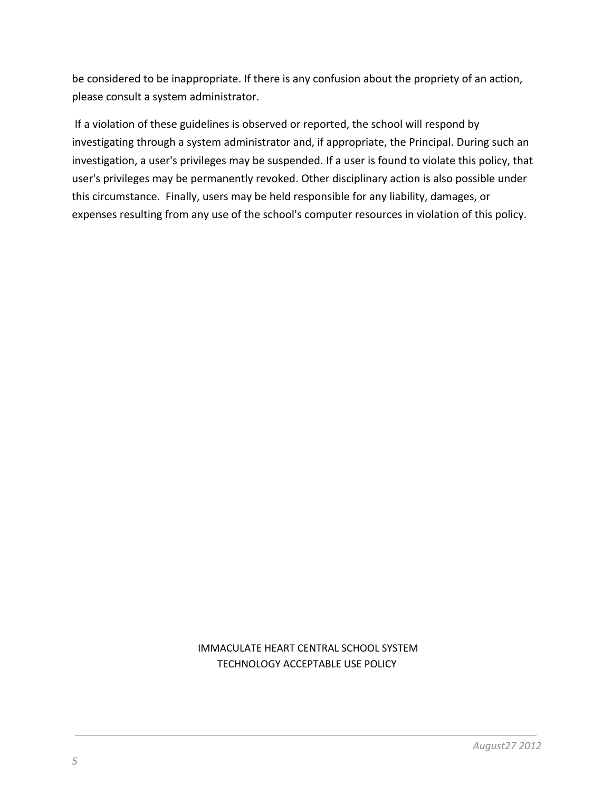be considered to be inappropriate. If there is any confusion about the propriety of an action, please consult a system administrator.

If a violation of these guidelines is observed or reported, the school will respond by investigating through a system administrator and, if appropriate, the Principal. During such an investigation, a user's privileges may be suspended. If a user is found to violate this policy, that user's privileges may be permanently revoked. Other disciplinary action is also possible under this circumstance. Finally, users may be held responsible for any liability, damages, or expenses resulting from any use of the school's computer resources in violation of this policy.

## IMMACULATE HEART CENTRAL SCHOOL SYSTEM TECHNOLOGY ACCEPTABLE USE POLICY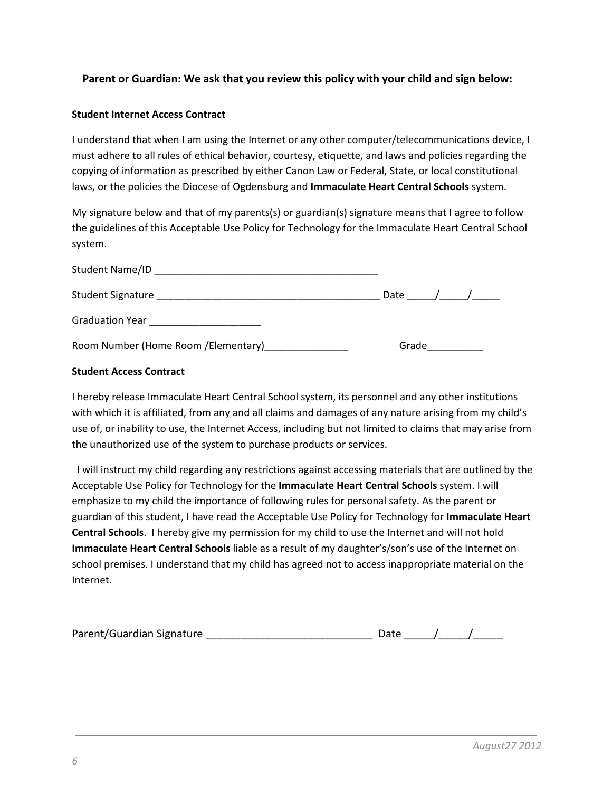#### **Parent or Guardian: We ask that you review this policy with your child and sign below:**

#### **Student Internet Access Contract**

I understand that when I am using the Internet or any other computer/telecommunications device, I must adhere to all rules of ethical behavior, courtesy, etiquette, and laws and policies regarding the copying of information as prescribed by either Canon Law or Federal, State, or local constitutional laws, or the policies the Diocese of Ogdensburg and **Immaculate Heart Central Schools** system.

My signature below and that of my parents(s) or guardian(s) signature means that I agree to follow the guidelines of this Acceptable Use Policy for Technology for the Immaculate Heart Central School system.

| Student Name/ID                                       |          |  |
|-------------------------------------------------------|----------|--|
| Student Signature                                     | Date / / |  |
| Graduation Year <b>Called Accord Contract Control</b> |          |  |
| Room Number (Home Room /Elementary)                   | Grade    |  |

#### **Student Access Contract**

I hereby release Immaculate Heart Central School system, its personnel and any other institutions with which it is affiliated, from any and all claims and damages of any nature arising from my child's use of, or inability to use, the Internet Access, including but not limited to claims that may arise from the unauthorized use of the system to purchase products or services.

I will instruct my child regarding any restrictions against accessing materials that are outlined by the Acceptable Use Policy for Technology for the **Immaculate Heart Central Schools** system. I will emphasize to my child the importance of following rules for personal safety. As the parent or guardian of this student, I have read the Acceptable Use Policy for Technology for **Immaculate Heart Central Schools**. I hereby give my permission for my child to use the Internet and will not hold **Immaculate Heart Central Schools** liable as a result of my daughter's/son's use of the Internet on school premises. I understand that my child has agreed not to access inappropriate material on the Internet.

| Parent/Guardian Signature |  |  |
|---------------------------|--|--|
|                           |  |  |